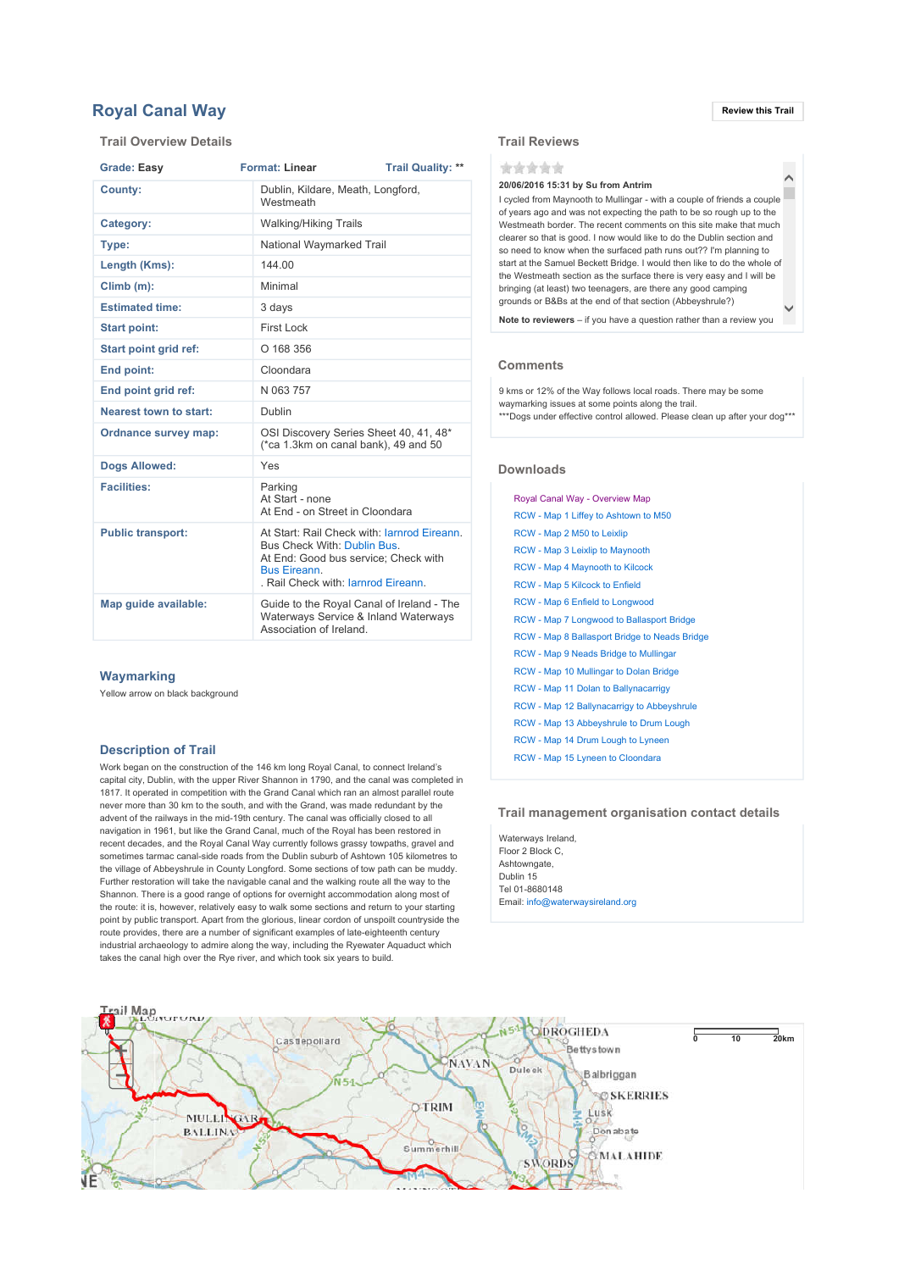# **Royal Canal Way Review this Trail**

## Trail Overview Details

| <b>Grade: Easy</b>            | <b>Format: Linear</b>                                                                                                                                                           | <b>Trail Quality: **</b>          |  |
|-------------------------------|---------------------------------------------------------------------------------------------------------------------------------------------------------------------------------|-----------------------------------|--|
| County:                       | Westmeath                                                                                                                                                                       | Dublin, Kildare, Meath, Longford, |  |
| Category:                     | <b>Walking/Hiking Trails</b>                                                                                                                                                    |                                   |  |
| Type:                         |                                                                                                                                                                                 | National Waymarked Trail          |  |
| Length (Kms):                 | 144.00                                                                                                                                                                          |                                   |  |
| $Climb(m)$ :                  | Minimal                                                                                                                                                                         |                                   |  |
| <b>Estimated time:</b>        | 3 days                                                                                                                                                                          |                                   |  |
| <b>Start point:</b>           | First Lock                                                                                                                                                                      |                                   |  |
| Start point grid ref:         | O 168 356                                                                                                                                                                       |                                   |  |
| End point:                    | Cloondara                                                                                                                                                                       |                                   |  |
| End point grid ref:           | N 063 757                                                                                                                                                                       |                                   |  |
| <b>Nearest town to start:</b> | Dublin                                                                                                                                                                          |                                   |  |
| Ordnance survey map:          | OSI Discovery Series Sheet 40, 41, 48*<br>(*ca 1.3km on canal bank), 49 and 50                                                                                                  |                                   |  |
| <b>Dogs Allowed:</b>          | Yes                                                                                                                                                                             |                                   |  |
| <b>Facilities:</b>            | Parking<br>At Start - none<br>At End - on Street in Cloondara                                                                                                                   |                                   |  |
| <b>Public transport:</b>      | At Start: Rail Check with: larnrod Eireann.<br>Bus Check With: Dublin Bus.<br>At End: Good bus service; Check with<br><b>Bus Fireann</b><br>. Rail Check with: Jarnrod Eireann. |                                   |  |
| Map guide available:          | Guide to the Royal Canal of Ireland - The<br>Waterways Service & Inland Waterways<br>Association of Ireland.                                                                    |                                   |  |

#### **Waymarking**

Yellow arrow on black background

### Description of Trail

Work began on the construction of the 146 km long Royal Canal, to connect Ireland's capital city, Dublin, with the upper River Shannon in 1790, and the canal was completed in 1817. It operated in competition with the Grand Canal which ran an almost parallel route never more than 30 km to the south, and with the Grand, was made redundant by the advent of the railways in the mid-19th century. The canal was officially closed to all navigation in 1961, but like the Grand Canal, much of the Royal has been restored in recent decades, and the Royal Canal Way currently follows grassy towpaths, gravel and sometimes tarmac canal-side roads from the Dublin suburb of Ashtown 105 kilometres to the village of Abbeyshrule in County Longford. Some sections of tow path can be muddy. Further restoration will take the navigable canal and the walking route all the way to the Shannon. There is a good range of options for overnight accommodation along most of the route: it is, however, relatively easy to walk some sections and return to your starting point by public transport. Apart from the glorious, linear cordon of unspoilt countryside the route provides, there are a number of significant examples of late-eighteenth century industrial archaeology to admire along the way, including the Ryewater Aquaduct which takes the canal high over the Rye river, and which took six years to build.

 $\hat{\phantom{a}}$ 

## Trail Reviews

\*\*\*\*\*

## 20/06/2016 15:31 by Su from Antrim

 $\checkmark$ I cycled from Maynooth to Mullingar - with a couple of friends a couple of years ago and was not expecting the path to be so rough up to the Westmeath border. The recent comments on this site make that much clearer so that is good. I now would like to do the Dublin section and so need to know when the surfaced path runs out?? I'm planning to start at the Samuel Beckett Bridge. I would then like to do the whole of the Westmeath section as the surface there is very easy and I will be bringing (at least) two teenagers, are there any good camping grounds or B&Bs at the end of that section (Abbeyshrule?)

Note to reviewers – if you have a question rather than a review you

## **Comments**

9 kms or 12% of the Way follows local roads. There may be some waymarking issues at some points along the trail. \*\*\*Dogs under effective control allowed. Please clean up after your dog\*\*\*

#### Downloads

| Royal Canal Way - Overview Map                |
|-----------------------------------------------|
| RCW - Map 1 Liffey to Ashtown to M50          |
| RCW - Map 2 M50 to Leixlip                    |
| <b>RCW</b> - Map 3 Leixlip to Maynooth        |
| <b>RCW</b> - Map 4 Maynooth to Kilcock        |
| <b>RCW - Map 5 Kilcock to Enfield</b>         |
| RCW - Map 6 Enfield to Longwood               |
| RCW - Map 7 Longwood to Ballasport Bridge     |
| RCW - Map 8 Ballasport Bridge to Neads Bridge |
| <b>RCW</b> - Map 9 Neads Bridge to Mullingar  |
| RCW - Map 10 Mullingar to Dolan Bridge        |
| <b>RCW</b> - Map 11 Dolan to Ballynacarrigy   |
| RCW - Map 12 Ballynacarrigy to Abbeyshrule    |
| RCW - Map 13 Abbeyshrule to Drum Lough        |
| RCW - Map 14 Drum Lough to Lyneen             |
| RCW - Map 15 Lyneen to Cloondara              |

#### Trail management organisation contact details

Waterways Ireland, Floor 2 Block C, Ashtowngate, Dublin 15 Tel 01-8680148 Email: info@waterwaysireland.org